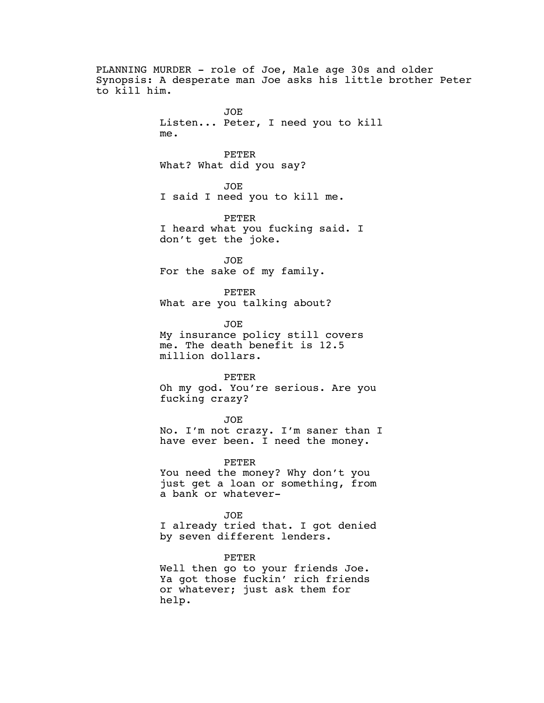PLANNING MURDER - role of Joe, Male age 30s and older Synopsis: A desperate man Joe asks his little brother Peter to kill him. JOE Listen... Peter, I need you to kill me. PETER What? What did you say? JOE I said I need you to kill me. PETER I heard what you fucking said. I don't get the joke. JOE For the sake of my family. PETER What are you talking about? JOE My insurance policy still covers me. The death benefit is 12.5 million dollars. PETER Oh my god. You're serious. Are you fucking crazy? JOE No. I'm not crazy. I'm saner than I have ever been. I need the money. PETER You need the money? Why don't you just get a loan or something, from a bank or whatever-JOE I already tried that. I got denied by seven different lenders. PETER

Well then go to your friends Joe. Ya got those fuckin' rich friends or whatever; just ask them for help.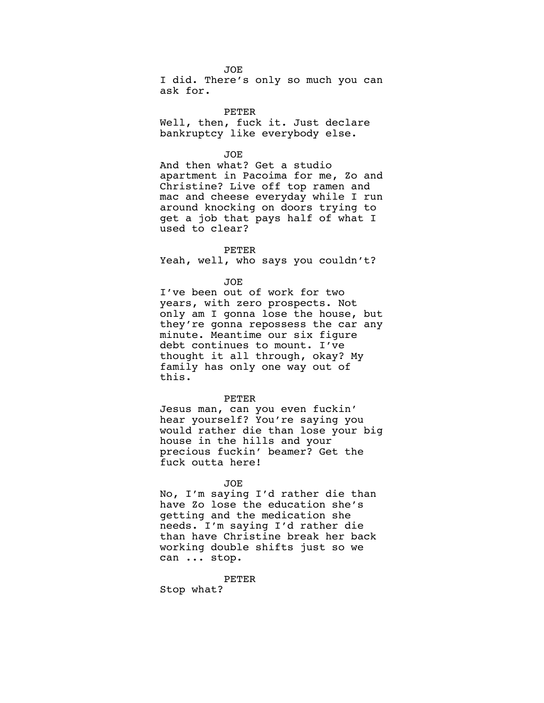JOE

I did. There's only so much you can ask for.

PETER Well, then, fuck it. Just declare bankruptcy like everybody else.

JOE

And then what? Get a studio apartment in Pacoima for me, Zo and Christine? Live off top ramen and mac and cheese everyday while I run around knocking on doors trying to get a job that pays half of what I used to clear?

## PETER

Yeah, well, who says you couldn't?

JOE

I've been out of work for two years, with zero prospects. Not only am I gonna lose the house, but they're gonna repossess the car any minute. Meantime our six figure debt continues to mount. I've thought it all through, okay? My family has only one way out of this.

## PETER

Jesus man, can you even fuckin' hear yourself? You're saying you would rather die than lose your big house in the hills and your precious fuckin' beamer? Get the fuck outta here!

## JOE

No, I'm saying I'd rather die than have Zo lose the education she's getting and the medication she needs. I'm saying I'd rather die than have Christine break her back working double shifts just so we can ... stop.

PETER

Stop what?